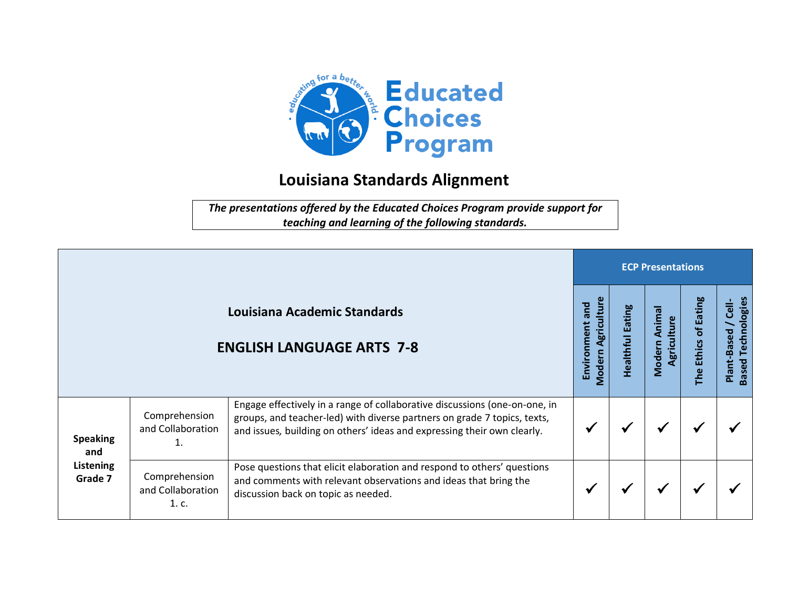

## **Louisiana Standards Alignment**

*The presentations offered by the Educated Choices Program provide support for teaching and learning of the following standards.*

|                                                       |                                             |                                                                                                                                                                                                                                   |                                                       | <b>ECP Presentations</b>   |                                 |                                                              |                                                                     |  |  |  |  |
|-------------------------------------------------------|---------------------------------------------|-----------------------------------------------------------------------------------------------------------------------------------------------------------------------------------------------------------------------------------|-------------------------------------------------------|----------------------------|---------------------------------|--------------------------------------------------------------|---------------------------------------------------------------------|--|--|--|--|
|                                                       |                                             | Louisiana Academic Standards<br><b>ENGLISH LANGUAGE ARTS 7-8</b>                                                                                                                                                                  | ω<br>gricultur<br>pue<br>Environment<br><b>Modern</b> | Eating<br><b>Healthful</b> | Animal<br>Agriculture<br>Modern | <b>Eating</b><br>$\overline{\sigma}$<br><b>Ethics</b><br>The | <b>Based Technologies</b><br>$\overline{\mathsf{c}}$<br>Plant-Based |  |  |  |  |
| <b>Speaking</b><br>and<br><b>Listening</b><br>Grade 7 | Comprehension<br>and Collaboration          | Engage effectively in a range of collaborative discussions (one-on-one, in<br>groups, and teacher-led) with diverse partners on grade 7 topics, texts,<br>and issues, building on others' ideas and expressing their own clearly. |                                                       |                            |                                 |                                                              |                                                                     |  |  |  |  |
|                                                       | Comprehension<br>and Collaboration<br>1. c. | Pose questions that elicit elaboration and respond to others' questions<br>and comments with relevant observations and ideas that bring the<br>discussion back on topic as needed.                                                |                                                       |                            |                                 |                                                              |                                                                     |  |  |  |  |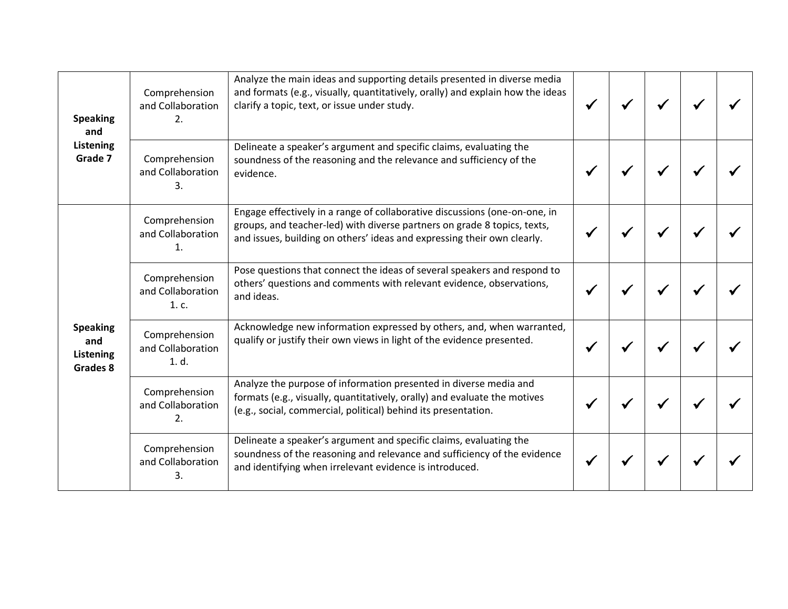| <b>Speaking</b><br>and<br>Listening<br>Grade 7         | Comprehension<br>and Collaboration<br>2.    | Analyze the main ideas and supporting details presented in diverse media<br>and formats (e.g., visually, quantitatively, orally) and explain how the ideas<br>clarify a topic, text, or issue under study.                        |  |  |  |
|--------------------------------------------------------|---------------------------------------------|-----------------------------------------------------------------------------------------------------------------------------------------------------------------------------------------------------------------------------------|--|--|--|
|                                                        | Comprehension<br>and Collaboration<br>3.    | Delineate a speaker's argument and specific claims, evaluating the<br>soundness of the reasoning and the relevance and sufficiency of the<br>evidence.                                                                            |  |  |  |
| <b>Speaking</b><br>and<br><b>Listening</b><br>Grades 8 | Comprehension<br>and Collaboration<br>1.    | Engage effectively in a range of collaborative discussions (one-on-one, in<br>groups, and teacher-led) with diverse partners on grade 8 topics, texts,<br>and issues, building on others' ideas and expressing their own clearly. |  |  |  |
|                                                        | Comprehension<br>and Collaboration<br>1. c. | Pose questions that connect the ideas of several speakers and respond to<br>others' questions and comments with relevant evidence, observations,<br>and ideas.                                                                    |  |  |  |
|                                                        | Comprehension<br>and Collaboration<br>1. d. | Acknowledge new information expressed by others, and, when warranted,<br>qualify or justify their own views in light of the evidence presented.                                                                                   |  |  |  |
|                                                        | Comprehension<br>and Collaboration<br>2.    | Analyze the purpose of information presented in diverse media and<br>formats (e.g., visually, quantitatively, orally) and evaluate the motives<br>(e.g., social, commercial, political) behind its presentation.                  |  |  |  |
|                                                        | Comprehension<br>and Collaboration<br>3.    | Delineate a speaker's argument and specific claims, evaluating the<br>soundness of the reasoning and relevance and sufficiency of the evidence<br>and identifying when irrelevant evidence is introduced.                         |  |  |  |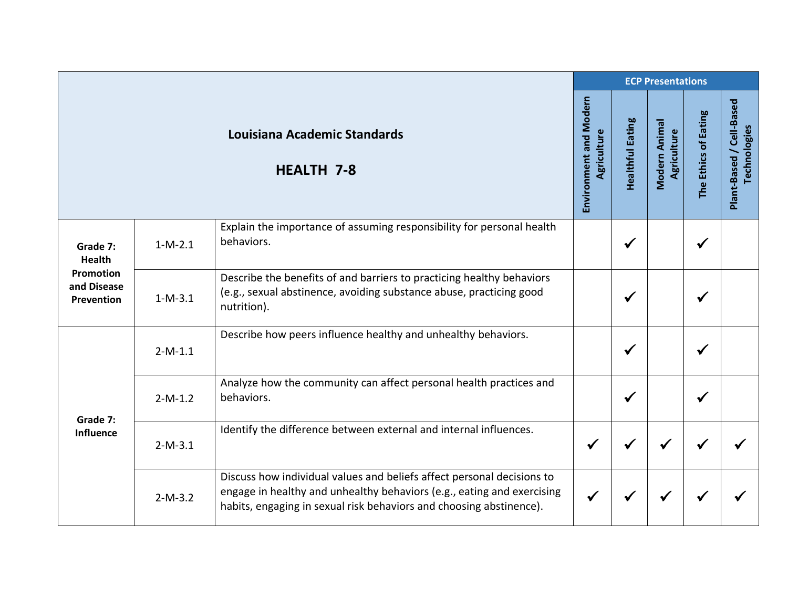|                                                                            |           |                                                                                                                                                                                                                         |                                       | <b>ECP Presentations</b> |                              |                      |                                          |  |  |  |
|----------------------------------------------------------------------------|-----------|-------------------------------------------------------------------------------------------------------------------------------------------------------------------------------------------------------------------------|---------------------------------------|--------------------------|------------------------------|----------------------|------------------------------------------|--|--|--|
|                                                                            |           | Louisiana Academic Standards<br><b>HEALTH 7-8</b>                                                                                                                                                                       | Environment and Modern<br>Agriculture | Healthful Eating         | Modern Animal<br>Agriculture | The Ethics of Eating | Plant-Based / Cell-Based<br>Technologies |  |  |  |
| Grade 7:<br><b>Health</b><br><b>Promotion</b><br>and Disease<br>Prevention | $1-M-2.1$ | Explain the importance of assuming responsibility for personal health<br>behaviors.                                                                                                                                     |                                       | ✔                        |                              | ✔                    |                                          |  |  |  |
|                                                                            | $1-M-3.1$ | Describe the benefits of and barriers to practicing healthy behaviors<br>(e.g., sexual abstinence, avoiding substance abuse, practicing good<br>nutrition).                                                             |                                       | $\checkmark$             |                              | ✔                    |                                          |  |  |  |
| Grade 7:<br><b>Influence</b>                                               | $2-M-1.1$ | Describe how peers influence healthy and unhealthy behaviors.                                                                                                                                                           |                                       | $\checkmark$             |                              |                      |                                          |  |  |  |
|                                                                            | $2-M-1.2$ | Analyze how the community can affect personal health practices and<br>behaviors.                                                                                                                                        |                                       | $\checkmark$             |                              |                      |                                          |  |  |  |
|                                                                            | $2-M-3.1$ | Identify the difference between external and internal influences.                                                                                                                                                       | $\checkmark$                          | ✔                        | ✔                            |                      |                                          |  |  |  |
|                                                                            | $2-M-3.2$ | Discuss how individual values and beliefs affect personal decisions to<br>engage in healthy and unhealthy behaviors (e.g., eating and exercising<br>habits, engaging in sexual risk behaviors and choosing abstinence). | $\checkmark$                          |                          |                              |                      |                                          |  |  |  |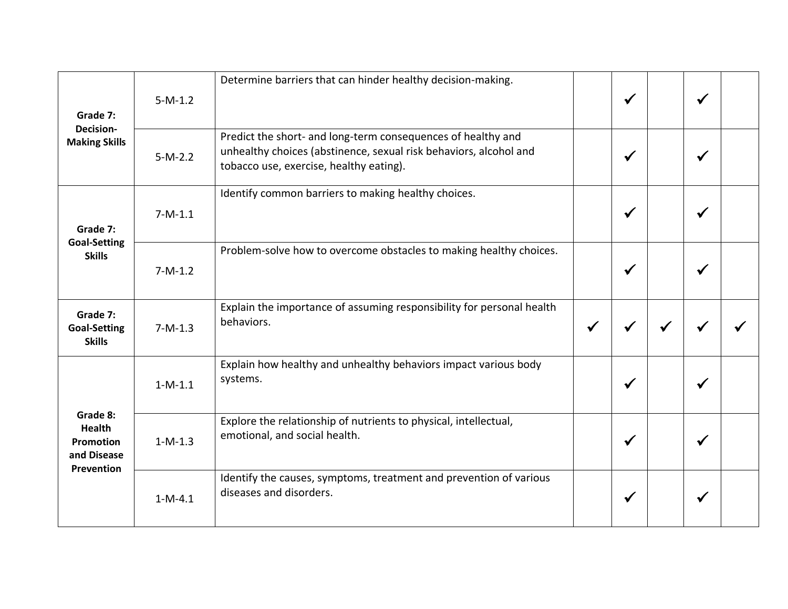| Grade 7:<br>Decision-<br><b>Making Skills</b>                       | $5-M-1.2$ | Determine barriers that can hinder healthy decision-making.                                                                                                                  |              | $\checkmark$ | $\checkmark$ |  |
|---------------------------------------------------------------------|-----------|------------------------------------------------------------------------------------------------------------------------------------------------------------------------------|--------------|--------------|--------------|--|
|                                                                     | $5-M-2.2$ | Predict the short- and long-term consequences of healthy and<br>unhealthy choices (abstinence, sexual risk behaviors, alcohol and<br>tobacco use, exercise, healthy eating). |              | $\checkmark$ |              |  |
| Grade 7:<br><b>Goal-Setting</b><br><b>Skills</b>                    | $7-M-1.1$ | Identify common barriers to making healthy choices.                                                                                                                          |              | $\checkmark$ | ✔            |  |
|                                                                     | $7-M-1.2$ | Problem-solve how to overcome obstacles to making healthy choices.                                                                                                           |              | $\checkmark$ | $\checkmark$ |  |
| Grade 7:<br><b>Goal-Setting</b><br><b>Skills</b>                    | $7-M-1.3$ | Explain the importance of assuming responsibility for personal health<br>behaviors.                                                                                          | $\checkmark$ |              |              |  |
| Grade 8:<br><b>Health</b><br>Promotion<br>and Disease<br>Prevention | $1-M-1.1$ | Explain how healthy and unhealthy behaviors impact various body<br>systems.                                                                                                  |              | $\checkmark$ | √            |  |
|                                                                     | $1-M-1.3$ | Explore the relationship of nutrients to physical, intellectual,<br>emotional, and social health.                                                                            |              | $\checkmark$ | $\checkmark$ |  |
|                                                                     | $1-M-4.1$ | Identify the causes, symptoms, treatment and prevention of various<br>diseases and disorders.                                                                                |              | ✔            | ✔            |  |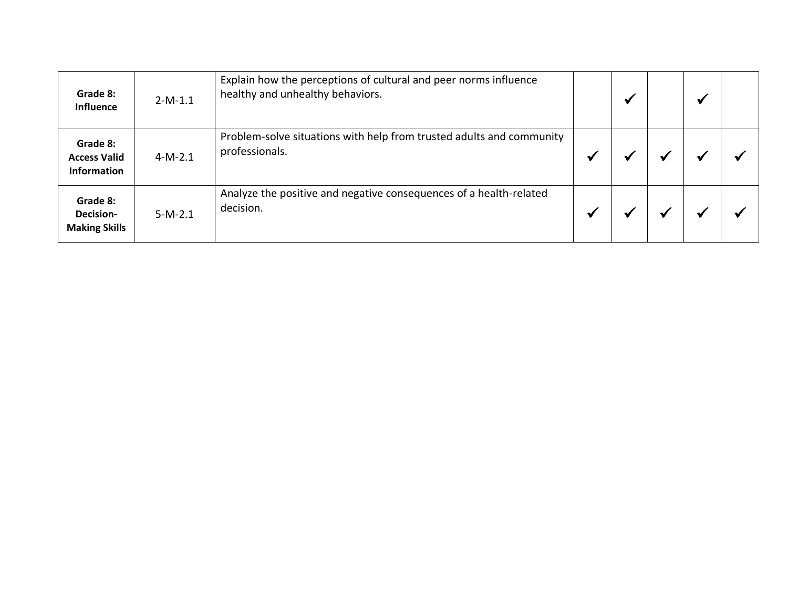| Grade 8:<br><b>Influence</b>                          | $2-M-1.1$ | Explain how the perceptions of cultural and peer norms influence<br>healthy and unhealthy behaviors. | $\mathbf{v}$ |  |  |
|-------------------------------------------------------|-----------|------------------------------------------------------------------------------------------------------|--------------|--|--|
| Grade 8:<br><b>Access Valid</b><br><b>Information</b> | $4-M-2.1$ | Problem-solve situations with help from trusted adults and community<br>professionals.               |              |  |  |
| Grade 8:<br><b>Decision-</b><br><b>Making Skills</b>  | $5-M-2.1$ | Analyze the positive and negative consequences of a health-related<br>decision.                      |              |  |  |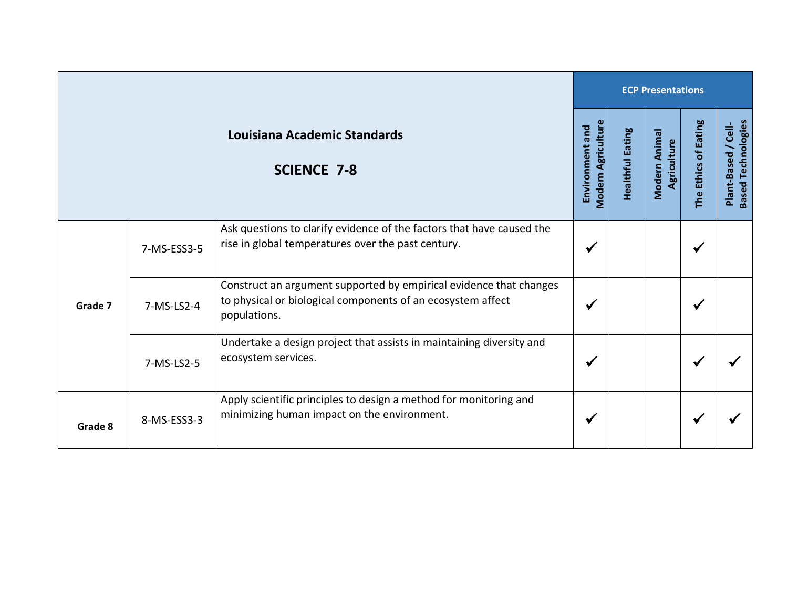|         |             |                                                                                                                                                   | <b>ECP Presentations</b>                     |                  |                              |                      |                                                  |  |  |
|---------|-------------|---------------------------------------------------------------------------------------------------------------------------------------------------|----------------------------------------------|------------------|------------------------------|----------------------|--------------------------------------------------|--|--|
|         |             | Louisiana Academic Standards<br><b>SCIENCE 7-8</b>                                                                                                | <b>Modern Agriculture</b><br>Environment and | Healthful Eating | Modern Animal<br>Agriculture | The Ethics of Eating | <b>Based Technologies</b><br>Plant-Based / Cell- |  |  |
| Grade 7 | 7-MS-ESS3-5 | Ask questions to clarify evidence of the factors that have caused the<br>rise in global temperatures over the past century.                       | $\checkmark$                                 |                  |                              | ✔                    |                                                  |  |  |
|         | 7-MS-LS2-4  | Construct an argument supported by empirical evidence that changes<br>to physical or biological components of an ecosystem affect<br>populations. | ✔                                            |                  |                              | ✔                    |                                                  |  |  |
|         | 7-MS-LS2-5  | Undertake a design project that assists in maintaining diversity and<br>ecosystem services.                                                       | $\checkmark$                                 |                  |                              |                      |                                                  |  |  |
| Grade 8 | 8-MS-ESS3-3 | Apply scientific principles to design a method for monitoring and<br>minimizing human impact on the environment.                                  | ✔                                            |                  |                              | √                    |                                                  |  |  |